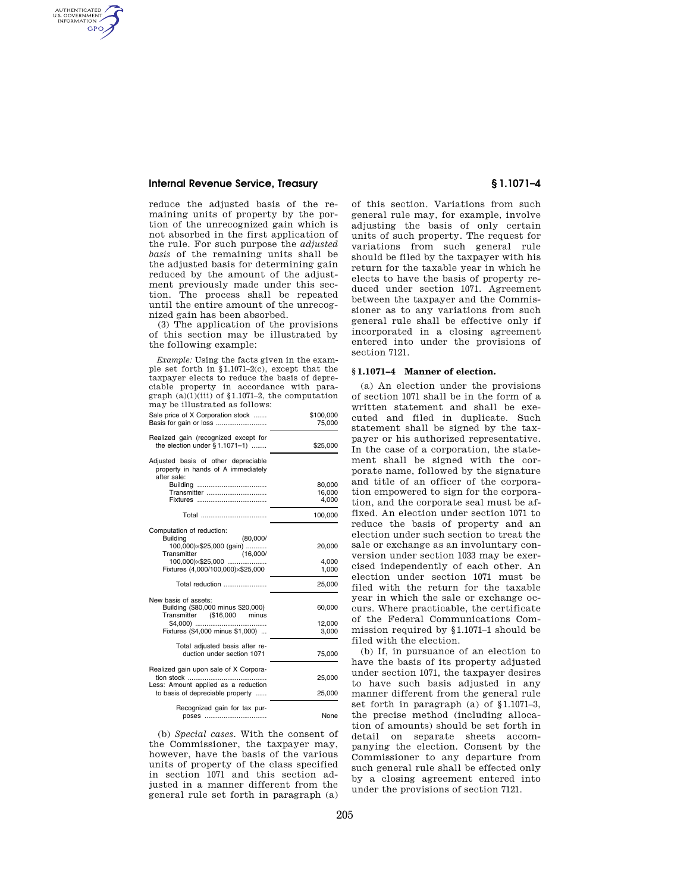# **Internal Revenue Service, Treasury § 1.1071–4**

AUTHENTICATED<br>U.S. GOVERNMENT<br>INFORMATION **GPO** 

> reduce the adjusted basis of the remaining units of property by the portion of the unrecognized gain which is not absorbed in the first application of the rule. For such purpose the *adjusted basis* of the remaining units shall be the adjusted basis for determining gain reduced by the amount of the adjustment previously made under this section. The process shall be repeated until the entire amount of the unrecognized gain has been absorbed.

> (3) The application of the provisions of this section may be illustrated by the following example:

*Example:* Using the facts given in the example set forth in §1.1071–2(c), except that the taxpayer elects to reduce the basis of depreciable property in accordance with paragraph  $(a)(1)(iii)$  of §1.1071–2, the computation may be illustrated as follows:

| Sale price of X Corporation stock                                                                                             | \$100,000<br>75,000       |
|-------------------------------------------------------------------------------------------------------------------------------|---------------------------|
| Realized gain (recognized except for<br>the election under $§ 1.1071-1)$                                                      | \$25,000                  |
| Adjusted basis of other depreciable<br>property in hands of A immediately<br>after sale:                                      |                           |
| Transmitter                                                                                                                   | 80,000<br>16,000<br>4.000 |
|                                                                                                                               | 100,000                   |
| Computation of reduction:<br><b>Building</b><br>(80,000)<br>100,000)×\$25,000 (gain)                                          | 20,000                    |
| Transmitter<br>(16,000/<br>100,000)×\$25,000<br>Fixtures (4,000/100,000)×\$25,000                                             | 4,000<br>1,000            |
| Total reduction                                                                                                               | 25,000                    |
| New basis of assets:<br>Building (\$80,000 minus \$20,000)<br>Transmitter (\$16,000 minus<br>Fixtures (\$4,000 minus \$1,000) | 60,000<br>12,000<br>3,000 |
| Total adjusted basis after re-<br>duction under section 1071                                                                  | 75,000                    |
| Realized gain upon sale of X Corpora-<br>tion stock<br>Less: Amount applied as a reduction                                    | 25,000                    |
| to basis of depreciable property                                                                                              | 25,000                    |
| Recognized gain for tax pur-<br>poses                                                                                         | None                      |

(b) *Special cases.* With the consent of the Commissioner, the taxpayer may, however, have the basis of the various units of property of the class specified in section 1071 and this section adjusted in a manner different from the general rule set forth in paragraph (a)

of this section. Variations from such general rule may, for example, involve adjusting the basis of only certain units of such property. The request for variations from such general rule should be filed by the taxpayer with his return for the taxable year in which he elects to have the basis of property reduced under section 1071. Agreement between the taxpayer and the Commissioner as to any variations from such general rule shall be effective only if incorporated in a closing agreement entered into under the provisions of section 7121.

#### **§ 1.1071–4 Manner of election.**

(a) An election under the provisions of section 1071 shall be in the form of a written statement and shall be executed and filed in duplicate. Such statement shall be signed by the taxpayer or his authorized representative. In the case of a corporation, the statement shall be signed with the corporate name, followed by the signature and title of an officer of the corporation empowered to sign for the corporation, and the corporate seal must be affixed. An election under section 1071 to reduce the basis of property and an election under such section to treat the sale or exchange as an involuntary conversion under section 1033 may be exercised independently of each other. An election under section 1071 must be filed with the return for the taxable year in which the sale or exchange occurs. Where practicable, the certificate of the Federal Communications Commission required by §1.1071–1 should be filed with the election.

(b) If, in pursuance of an election to have the basis of its property adjusted under section 1071, the taxpayer desires to have such basis adjusted in any manner different from the general rule set forth in paragraph (a) of §1.1071–3, the precise method (including allocation of amounts) should be set forth in detail on separate sheets accompanying the election. Consent by the Commissioner to any departure from such general rule shall be effected only by a closing agreement entered into under the provisions of section 7121.